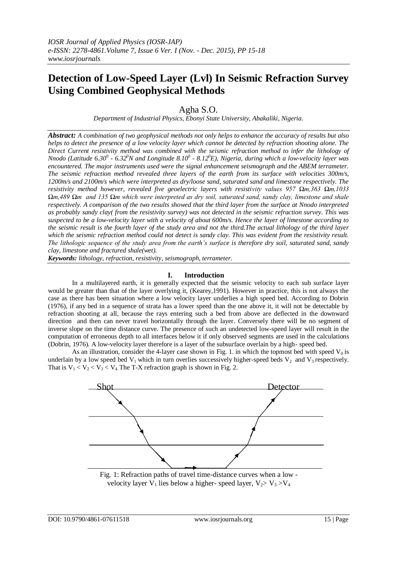# **Detection of Low-Speed Layer (Lvl) In Seismic Refraction Survey Using Combined Geophysical Methods**

Agha S.O.

*Department of Industrial Physics, Ebonyi State University, Abakaliki, Nigeria.*

*Abstract: A combination of two geophysical methods not only helps to enhance the accuracy of results but also helps to detect the presence of a low velocity layer which cannot be detected by refraction shooting alone. The Direct Current resistivity method was combined with the seismic refraction method to infer the lithology of Nnodo (Latitude 6.30<sup>0</sup> - 6.32<sup>0</sup>N and Longitude 8.10<sup>0</sup> - 8.12<sup>0</sup>E), Nigeria, during which a low-velocity layer was encountered. The major instruments used were the signal enhancement seismograph and the ABEM terrameter. The seismic refraction method revealed three layers of the earth from its surface with velocities 300m/s, 1200m/s and 2100m/s which were interpreted as dry/loose sand, saturated sand and limestone respectively. The resistivity method however, revealed five geoelectric layers with resistivity values 957 Ωm,363 Ωm,1033 Ωm,489 Ωm and 135 Ωm which were interpreted as dry soil, saturated sand, sandy clay, limestone and shale respectively. A comparison of the two results showed that the third layer from the surface at Nnodo interpreted as probably sandy clay( from the resistivity survey) was not detected in the seismic refraction survey. This was suspected to be a low-velocity layer with a velocity of about 600m/s. Hence the layer of limestone according to the seismic result is the fourth layer of the study area and not the third.The actual lithology of the third layer which the seismic refraction method could not detect is sandy clay. This was evident from the resistivity result. The lithologic sequence of the study area from the earth's surface is therefore dry soil, saturated sand, sandy clay, limestone and fractured shale(wet).* 

*Keywords: lithology, refraction, resistivity, seismograph, terrameter.*

## **I. Introduction**

In a multilayered earth, it is generally expected that the seismic velocity to each sub surface layer would be greater than that of the layer overlying it, (Kearey,1991). However in practice, this is not always the case as there has been situation where a low velocity layer underlies a high speed bed. According to Dobrin (1976), if any bed in a sequence of strata has a lower speed than the one above it, it will not be detectable by refraction shooting at all, because the rays entering such a bed from above are deflected in the downward direction and then can never travel horizontally through the layer. Conversely there will be no segment of inverse slope on the time distance curve. The presence of such an undetected low-speed layer will result in the computation of erroneous depth to all interfaces below it if only observed segments are used in the calculations (Dobrin, 1976). A low-velocity layer therefore is a layer of the subsurface overlain by a high- speed bed.

As an illustration, consider the 4-layer case shown in Fig. 1. in which the topmost bed with speed  $V_0$  is underlain by a low speed bed  $V_1$  which in turn overlies successively higher-speed beds  $V_2$  and  $V_3$  respectively. That is  $V_1 < V_2 < V_3 < V_4$ . The T-X refraction graph is shown in Fig. 2.



velocity layer  $V_1$  lies below a higher-speed layer,  $V_2 > V_3 > V_4$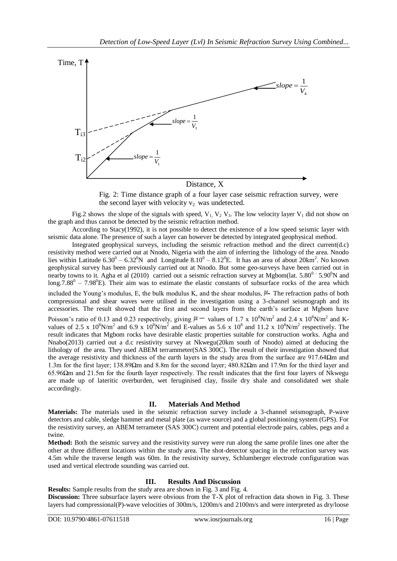

### Distance, X

Fig. 2: Time distance graph of a four layer case seismic refraction survey, were the second layer with velocity  $v_2$  was undetected.

Fig.2 shows the slope of the signals with speed,  $V_1$ ,  $V_2$ ,  $V_3$ . The low velocity layer  $V_1$  did not show on the graph and thus cannot be detected by the seismic refraction method.

According to Stacy(1992), it is not possible to detect the existence of a low speed seismic layer with seismic data alone. The presence of such a layer can however be detected by integrated geophysical method.

Integrated geophysical surveys, including the seismic refraction method and the direct current(d.c) resistivity method were carried out at Nnodo, Nigeria with the aim of inferring the lithology of the area. Nnodo lies within Latitude  $6.30^0 - 6.32^0$ N and Longitude  $8.10^0 - 8.12^0$ E. It has an area of about  $20 \text{km}^2$ . No known geophysical survey has been previously carried out at Nnodo. But some geo-surveys have been carried out in nearby towns to it. Agha et al (2010) carried out a seismic refraction survey at Mgbom(lat.  $5.80^{\circ}$  =  $5.90^{\circ}$ N and  $\log 7.88^\circ - 7.98^\circ$ E). Their aim was to estimate the elastic constants of subsurface rocks of the area which included the Young's modulus, E, the bulk modulus K, and the shear modulus,  $\mu$ . The refraction paths of both compressional and shear waves were utilised in the investigation using a 3-channel seismograph and its accessories. The result showed that the first and second layers from the earth's surface at Mgbom have Poisson's ratio of 0.13 and 0.23 respectively, giving  $\mu$  – values of 1.7 x 10<sup>8</sup>N/m<sup>2</sup> and 2.4 x 10<sup>8</sup>N/m<sup>2</sup> and Kvalues of 2.5 x  $10^8$ N/m<sup>2</sup> and 6.9 x  $10^8$ N/m<sup>2</sup> and E-values as 5.6 x  $10^8$  and 11.2 x  $10^8$ N/m<sup>2</sup> respectively. The result indicates that Mgbom rocks have desirable elastic properties suitable for construction works. Agha and Nnabo(2013) carried out a d.c resistivity survey at Nkwegu(20km south of Nnodo) aimed at deducing the lithology of the area. They used ABEM terrammeter(SAS 300C). The result of their investigation showed that the average resistivity and thickness of the earth layers in the study area from the surface are 917.64Ωm and 1.3m for the first layer; 138.89Ωm and 8.8m for the second layer; 480.82Ωm and 17.9m for the third layer and 65.96Ωm and 21.5m for the fourth layer respectively. The result indicates that the first four layers of Nkwegu are made up of lateritic overburden, wet feruginised clay, fissile dry shale and consolidated wet shale accordingly.

#### **II. Materials And Method**

**Materials:** The materials used in the seismic refraction survey include a 3-channel seismograph, P-wave detectors and cable, sledge hammer and metal plate (as wave source) and a global positioning system (GPS). For the resistivity survey, an ABEM terrameter (SAS 300C) current and potential electrode pairs, cables, pegs and a twine.

**Method:** Both the seismic survey and the resistivity survey were run along the same profile lines one after the other at three different locations within the study area. The shot-detector spacing in the refraction survey was 4.5m while the traverse length was 60m. In the resistivity survey, Schlumberger electrode configuration was used and vertical electrode sounding was carried out.

#### **III. Results And Discussion**

**Results:** Sample results from the study area are shown in Fig. 3 and Fig. 4.

**Discussion:** Three subsurface layers were obvious from the T-X plot of refraction data shown in Fig. 3. These layers had compressional(P)-wave velocities of 300m/s, 1200m/s and 2100m/s and were interpreted as dry/loose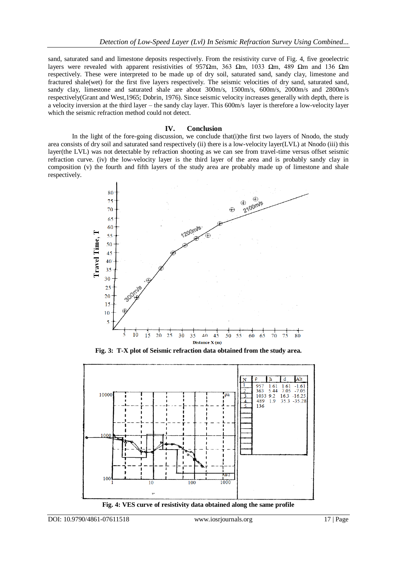sand, saturated sand and limestone deposits respectively. From the resistivity curve of Fig. 4, five geoelectric layers were revealed with apparent resistivities of 957 $\Omega$ m, 363  $\Omega$ m, 1033  $\Omega$ m, 489  $\Omega$ m and 136  $\Omega$ m respectively. These were interpreted to be made up of dry soil, saturated sand, sandy clay, limestone and fractured shale(wet) for the first five layers respectively. The seismic velocities of dry sand, saturated sand, sandy clay, limestone and saturated shale are about 300m/s, 1500m/s, 600m/s, 2000m/s and 2800m/s respectively(Grant and West,1965; Dobrin, 1976). Since seismic velocity increases generally with depth, there is a velocity inversion at the third layer – the sandy clay layer. This 600m/s layer is therefore a low-velocity layer which the seismic refraction method could not detect.

#### **IV. Conclusion**

In the light of the fore-going discussion, we conclude that (i) the first two layers of Nnodo, the study area consists of dry soil and saturated sand respectively (ii) there is a low-velocity layer(LVL) at Nnodo (iii) this layer(the LVL) was not detectable by refraction shooting as we can see from travel-time versus offset seismic refraction curve. (iv) the low-velocity layer is the third layer of the area and is probably sandy clay in composition (v) the fourth and fifth layers of the study area are probably made up of limestone and shale respectively.



**Fig. 3: T-X plot of Seismic refraction data obtained from the study area.**



**Fig. 4: VES curve of resistivity data obtained along the same profile**